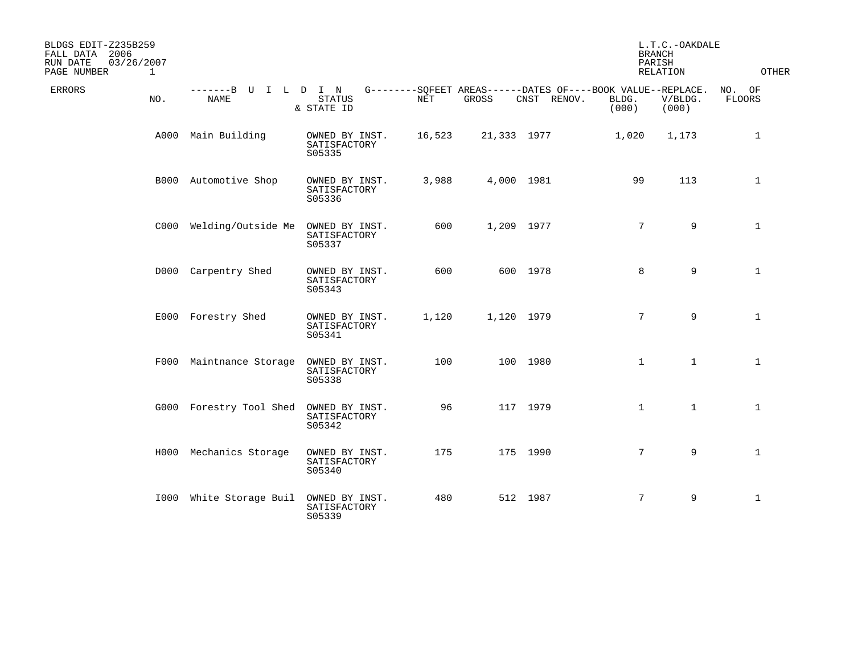| BLDGS EDIT-Z235B259<br>FALL DATA 2006<br>03/26/2007<br>RUN DATE<br>PAGE NUMBER<br>$\mathbf{1}$ |                                     |                                          |        |             |             | <b>BRANCH</b><br>PARISH                                                       | L.T.C.-OAKDALE<br>RELATION | <b>OTHER</b>     |
|------------------------------------------------------------------------------------------------|-------------------------------------|------------------------------------------|--------|-------------|-------------|-------------------------------------------------------------------------------|----------------------------|------------------|
| <b>ERRORS</b><br>NO.                                                                           | -------B U I L D I N<br><b>NAME</b> | <b>STATUS</b><br>& STATE ID              | NET    | GROSS       | CNST RENOV. | G--------SOFEET AREAS------DATES OF----BOOK VALUE--REPLACE.<br>BLDG.<br>(000) | V/BLDG.<br>(000)           | NO. OF<br>FLOORS |
|                                                                                                | A000 Main Building                  | OWNED BY INST.<br>SATISFACTORY<br>S05335 | 16,523 | 21,333 1977 |             | 1,020                                                                         | 1,173                      | $\mathbf{1}$     |
|                                                                                                | B000 Automotive Shop                | OWNED BY INST.<br>SATISFACTORY<br>S05336 | 3,988  | 4,000 1981  |             | 99                                                                            | 113                        | $\mathbf{1}$     |
|                                                                                                | C000 Welding/Outside Me             | OWNED BY INST.<br>SATISFACTORY<br>S05337 | 600    | 1,209 1977  |             | $7^{\circ}$                                                                   | 9                          | $\mathbf{1}$     |
|                                                                                                | D000 Carpentry Shed                 | OWNED BY INST.<br>SATISFACTORY<br>S05343 | 600    |             | 600 1978    | 8                                                                             | 9                          | $\mathbf{1}$     |
|                                                                                                | E000 Forestry Shed                  | OWNED BY INST.<br>SATISFACTORY<br>S05341 | 1,120  | 1,120 1979  |             | $7^{\circ}$                                                                   | 9                          | $\mathbf{1}$     |
|                                                                                                | F000 Maintnance Storage             | OWNED BY INST.<br>SATISFACTORY<br>S05338 | 100    |             | 100 1980    | $\mathbf{1}$                                                                  | $\mathbf{1}$               | $\mathbf{1}$     |
|                                                                                                | G000 Forestry Tool Shed             | OWNED BY INST.<br>SATISFACTORY<br>S05342 | 96     |             | 117 1979    | $\mathbf{1}$                                                                  | $\mathbf{1}$               | $\mathbf{1}$     |
|                                                                                                | H000 Mechanics Storage              | OWNED BY INST.<br>SATISFACTORY<br>S05340 | 175    |             | 175 1990    | $7^{\circ}$                                                                   | 9                          | $\mathbf{1}$     |
|                                                                                                | I000 White Storage Buil             | OWNED BY INST.<br>SATISFACTORY<br>S05339 | 480    |             | 512 1987    | $7\overline{ }$                                                               | 9                          | $\mathbf{1}$     |